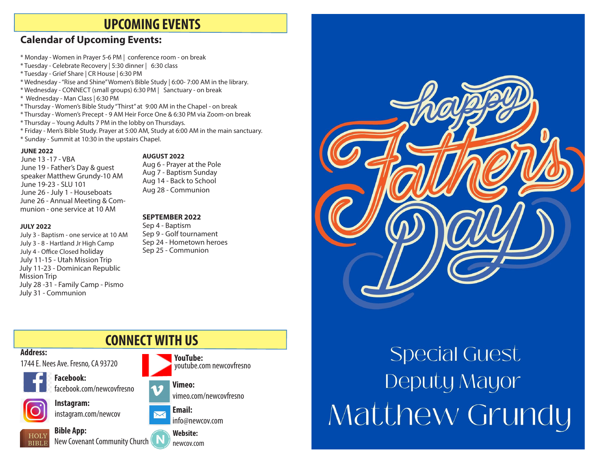### **UPCOMING EVENTS**

### **Calendar of Upcoming Events:**

- \* Monday Women in Prayer 5-6 PM | conference room on break
- \* Tuesday Celebrate Recovery | 5:30 dinner | 6:30 class
- \* Tuesday Grief Share | CR House | 6:30 PM
- \* Wednesday "Rise and Shine" Women's Bible Study | 6:00- 7:00 AM in the library.
- \* Wednesday CONNECT (small groups) 6:30 PM | Sanctuary on break
- \* Wednesday Man Class | 6:30 PM
- \* Thursday Women's Bible Study "Thirst" at 9:00 AM in the Chapel on break
- \* Thursday Women's Precept 9 AM Heir Force One & 6:30 PM via Zoom-on break
- \* Thursday Young Adults 7 PM in the lobby on Thursdays.
- \* Friday Men's Bible Study. Prayer at 5:00 AM, Study at 6:00 AM in the main sanctuary.
- \* Sunday Summit at 10:30 in the upstairs Chapel.

#### **JUNE 2022**

June 13 -17 - VBA June 19 - Father's Day & guest speaker Matthew Grundy-10 AM June 19-23 - SLU 101 June 26 - July 1 - Houseboats June 26 - Annual Meeting & Communion - one service at 10 AM

#### **JULY 2022**

**Address:**

**HOLY BIBLE** 

July 3 - Baptism - one service at 10 AM July 3 - 8 - Hartland Jr High Camp July 4 - Office Closed holiday July 11-15 - Utah Mission Trip July 11-23 - Dominican Republic Mission Trip July 28 -31 - Family Camp - Pismo July 31 - Communion

**Bible App:**

#### **AUGUST 2022**

Aug 6 - Prayer at the Pole Aug 7 - Baptism Sunday Aug 14 - Back to School Aug 28 - Communion

#### **SEPTEMBER 2022**

Sep 4 - Baptism Sep 9 - Golf tournament Sep 24 - Hometown heroes Sep 25 - Communion



vimeo.com/newcovfresno



New Covenant Community Church